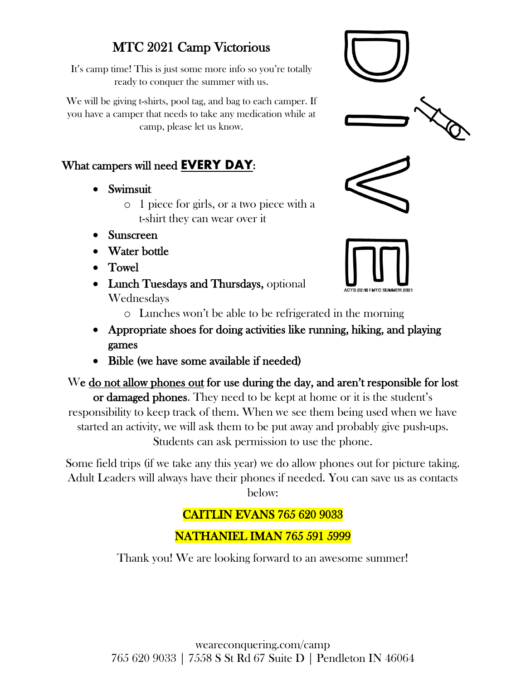#### MTC 2021 Camp Victorious

It's camp time! This is just some more info so you're totally ready to conquer the summer with us.

We will be giving t-shirts, pool tag, and bag to each camper. If you have a camper that needs to take any medication while at camp, please let us know.

#### What campers will need **EVERY DAY:**

- Swimsuit
	- o 1 piece for girls, or a two piece with a t-shirt they can wear over it
- Sunscreen
- Water bottle
- Towel
- Lunch Tuesdays and Thursdays, optional Wednesdays







- o Lunches won't be able to be refrigerated in the morning
- Appropriate shoes for doing activities like running, hiking, and playing games
- Bible (we have some available if needed)

### We do not allow phones out for use during the day, and aren't responsible for lost

or damaged phones. They need to be kept at home or it is the student's responsibility to keep track of them. When we see them being used when we have started an activity, we will ask them to be put away and probably give push-ups. Students can ask permission to use the phone.

Some field trips (if we take any this year) we do allow phones out for picture taking. Adult Leaders will always have their phones if needed. You can save us as contacts below:

#### CAITLIN EVANS 765 620 9033

NATHANIEL IMAN 765 591 5999

Thank you! We are looking forward to an awesome summer!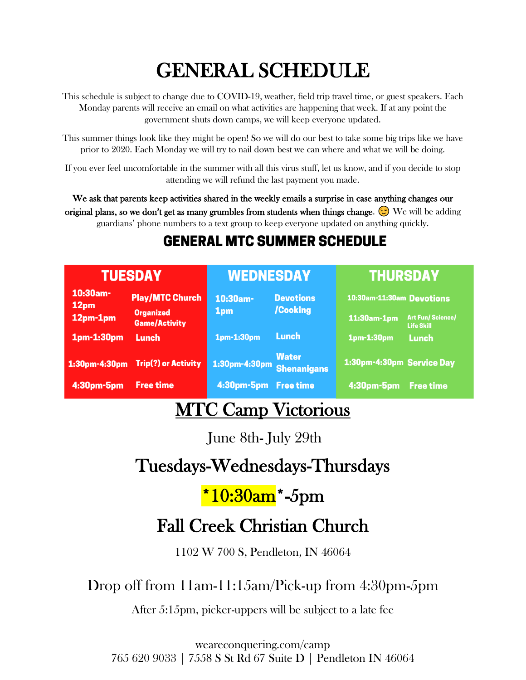# GENERAL SCHEDULE

This schedule is subject to change due to COVID-19, weather, field trip travel time, or guest speakers. Each Monday parents will receive an email on what activities are happening that week. If at any point the government shuts down camps, we will keep everyone updated.

This summer things look like they might be open! So we will do our best to take some big trips like we have prior to 2020. Each Monday we will try to nail down best we can where and what we will be doing.

If you ever feel uncomfortable in the summer with all this virus stuff, let us know, and if you decide to stop attending we will refund the last payment you made.

We ask that parents keep activities shared in the weekly emails a surprise in case anything changes our original plans, so we don't get as many grumbles from students when things change.  $\odot$  We will be adding guardians' phone numbers to a text group to keep everyone updated on anything quickly.

### **GENERAL MTC SUMMER SCHEDULE**

| <b>TUESDAY</b>      |                                          | <b>WEDNESDAY</b>     |                                    | <b>THURSDAY</b>           |                                              |
|---------------------|------------------------------------------|----------------------|------------------------------------|---------------------------|----------------------------------------------|
| $10:30$ am-<br>12pm | <b>Play/MTC Church</b>                   | 10:30am-             | <b>Devotions</b><br>/Cooking       | 10:30am-11:30am Devotions |                                              |
| 12pm-1pm            | <b>Organized</b><br><b>Game/Activity</b> | 1 <sub>pm</sub>      |                                    | 11:30am-1pm               | <b>Art Fun/Science/</b><br><b>Life Skill</b> |
| 1pm-1:30pm          | Lunch                                    | 1pm-1:30pm           | Lunch                              | 1pm-1:30pm                | <b>Lunch</b>                                 |
| 1:30pm-4:30pm       | <b>Trip(?) or Activity</b>               | 1:30pm-4:30pm        | <b>Water</b><br><b>Shenanigans</b> | 1:30pm-4:30pm Service Day |                                              |
| 4:30pm-5pm          | <b>Free time</b>                         | 4:30pm-5pm Free time |                                    | 4:30pm-5pm                | <b>Free time</b>                             |

### MTC Camp Victorious

June 8th- July 29th

# Tuesdays-Wednesdays-Thursdays

# $*10:30$ am $*$ -5pm

# Fall Creek Christian Church

[1102 W 700 S, Pendleton, IN 46064](https://www.bing.com/local?lid=YN296x5865670&id=YN296x5865670&q=Fall+Creek+Christian+Church&name=Fall+Creek+Christian+Church&cp=40.0045394897461%7e-85.6939392089844&ppois=40.0045394897461_-85.6939392089844_Fall+Creek+Christian+Church&FORM=SNAPST)

#### Drop off from 11am-11:15am/Pick-up from 4:30pm-5pm

After 5:15pm, picker-uppers will be subject to a late fee

weareconquering.com/camp 765 620 9033 | 7558 S St Rd 67 Suite D | Pendleton IN 46064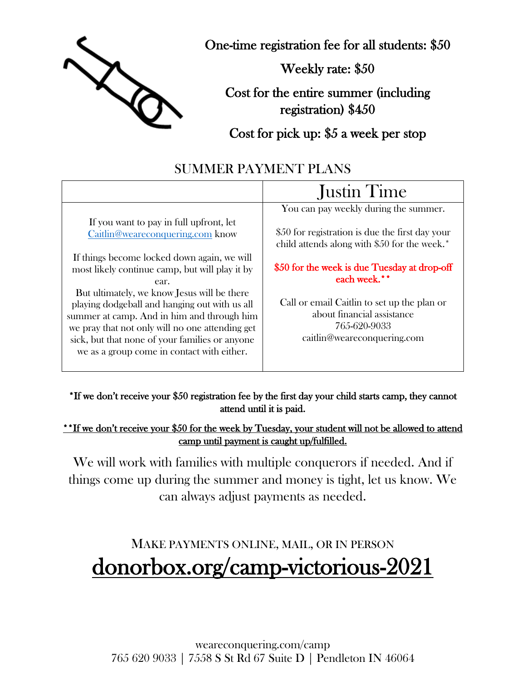

One-time registration fee for all students: \$50

Weekly rate: \$50

Cost for the entire summer (including registration) \$450

Cost for pick up: \$5 a week per stop

#### SUMMER PAYMENT PLANS

|                                                                                                                                                                                                                                                     | <b>Justin Time</b>                                                                                                                        |  |
|-----------------------------------------------------------------------------------------------------------------------------------------------------------------------------------------------------------------------------------------------------|-------------------------------------------------------------------------------------------------------------------------------------------|--|
| If you want to pay in full upfront, let<br>Caitlin@weareconquering.com know                                                                                                                                                                         | You can pay weekly during the summer.<br>\$50 for registration is due the first day your<br>child attends along with \$50 for the week.*  |  |
| If things become locked down again, we will<br>most likely continue camp, but will play it by<br>ear.<br>But ultimately, we know Jesus will be there<br>playing dodgeball and hanging out with us all<br>summer at camp. And in him and through him | \$50 for the week is due Tuesday at drop-off<br>each week.**<br>Call or email Caitlin to set up the plan or<br>about financial assistance |  |
| we pray that not only will no one attending get<br>sick, but that none of your families or anyone<br>we as a group come in contact with either.                                                                                                     | 765-620-9033<br>caitlin@weareconquering.com                                                                                               |  |

\*If we don't receive your \$50 registration fee by the first day your child starts camp, they cannot attend until it is paid.

\*\*If we don't receive your \$50 for the week by Tuesday, your student will not be allowed to attend camp until payment is caught up/fulfilled.

We will work with families with multiple conquerors if needed. And if things come up during the summer and money is tight, let us know. We can always adjust payments as needed.

# MAKE PAYMENTS ONLINE, MAIL, OR IN PERSON donorbox.org/camp-victorious-2021